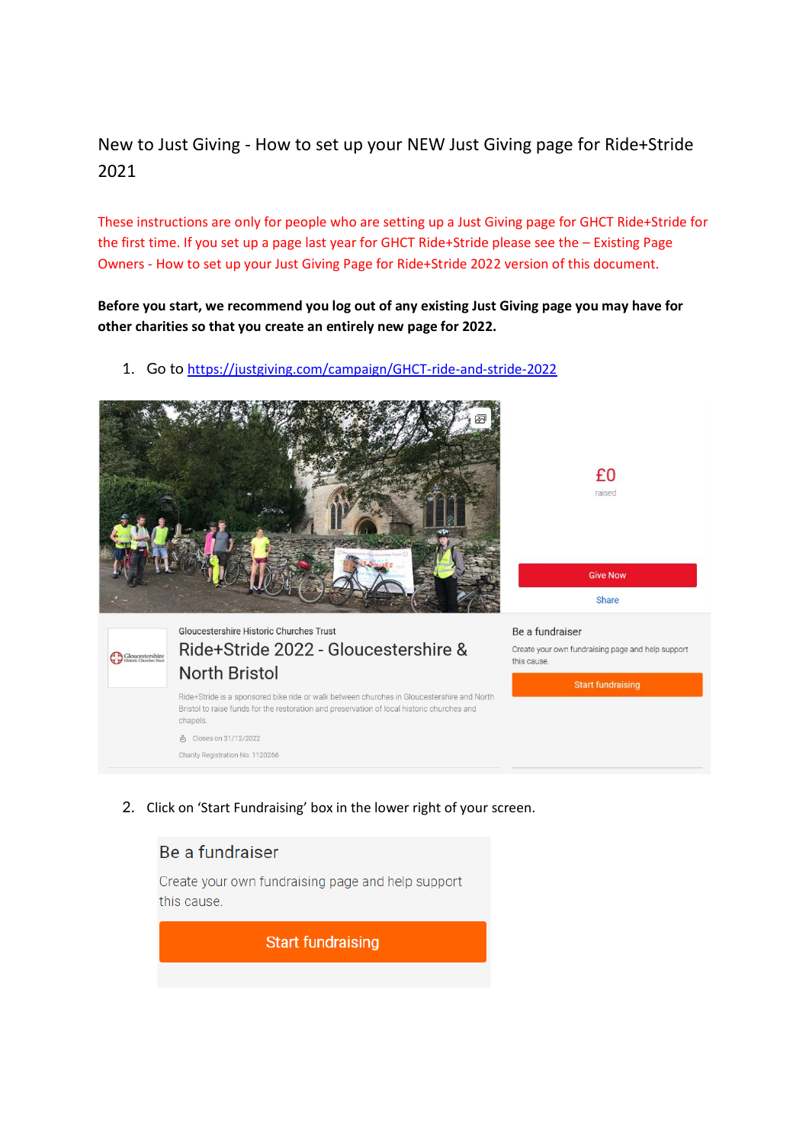New to Just Giving - How to set up your NEW Just Giving page for Ride+Stride 2021

These instructions are only for people who are setting up a Just Giving page for GHCT Ride+Stride for the first time. If you set up a page last year for GHCT Ride+Stride please see the – Existing Page Owners - How to set up your Just Giving Page for Ride+Stride 2022 version of this document.

**Before you start, we recommend you log out of any existing Just Giving page you may have for other charities so that you create an entirely new page for 2022.**

1. Go to <https://justgiving.com/campaign/GHCT-ride-and-stride-2022>



2. Click on 'Start Fundraising' box in the lower right of your screen.

## Be a fundraiser

Create your own fundraising page and help support this cause.

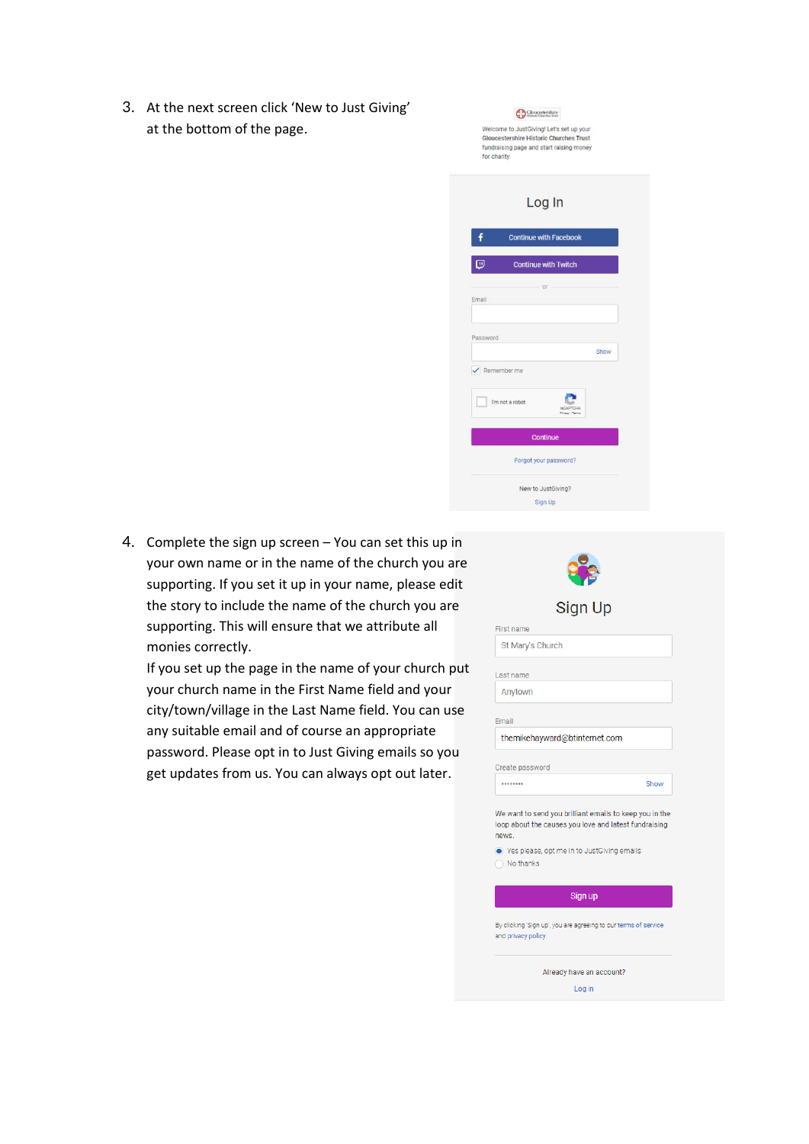3. At the next screen click 'New to Just Giving' at the bottom of the page.

| for charity. | Welcome to JustGiving! Let's set up your<br><b>Gloucestershire Historic Churches Trust</b><br>fundraising page and start raising money |                                     |      |
|--------------|----------------------------------------------------------------------------------------------------------------------------------------|-------------------------------------|------|
|              |                                                                                                                                        | Log In                              |      |
|              |                                                                                                                                        | <b>Continue with Facebook</b>       |      |
| ₪            |                                                                                                                                        | <b>Continue with Twitch</b>         |      |
| Email        |                                                                                                                                        | $OC$ .                              |      |
| Password     |                                                                                                                                        |                                     | Show |
| Remember me  |                                                                                                                                        |                                     |      |
|              | I'm not a robot                                                                                                                        | <b>reCAPTCHA</b><br>Privacy - Terma |      |
|              |                                                                                                                                        | <b>Continue</b>                     |      |
|              |                                                                                                                                        | Forgot your password?               |      |
|              |                                                                                                                                        | New to JustGiving?                  |      |
|              |                                                                                                                                        |                                     |      |

 $\bigoplus\limits_{\text{interior C} }\text{Gloucestershire}$ 

4. Complete the sign up screen – You can set this up in your own name or in the name of the church you are supporting. If you set it up in your name, please edit the story to include the name of the church you are supporting. This will ensure that we attribute all monies correctly.

If you set up the page in the name of your church put your church name in the First Name field and your city/town/village in the Last Name field. You can use any suitable email and of course an appropriate password. Please opt in to Just Giving emails so you get updates from us. You can always opt out later.

| <b>Sign Up</b>                                                                                                            |  |  |  |  |  |  |
|---------------------------------------------------------------------------------------------------------------------------|--|--|--|--|--|--|
| <b>First name</b>                                                                                                         |  |  |  |  |  |  |
| St Mary's Church                                                                                                          |  |  |  |  |  |  |
| Last name                                                                                                                 |  |  |  |  |  |  |
| Anytown                                                                                                                   |  |  |  |  |  |  |
| Email                                                                                                                     |  |  |  |  |  |  |
| themikehayward@btinternet.com                                                                                             |  |  |  |  |  |  |
| Create password                                                                                                           |  |  |  |  |  |  |
| Show<br>                                                                                                                  |  |  |  |  |  |  |
| We want to send you brilliant emails to keep you in the<br>loop about the causes you love and latest fundraising<br>news. |  |  |  |  |  |  |
| ● Yes please, opt me in to JustGiving emails<br>No thanks                                                                 |  |  |  |  |  |  |
| Sign up                                                                                                                   |  |  |  |  |  |  |
| By clicking 'Sign up', you are agreeing to our terms of service<br>and privacy policy.                                    |  |  |  |  |  |  |
| Already have an account?                                                                                                  |  |  |  |  |  |  |
| Log in                                                                                                                    |  |  |  |  |  |  |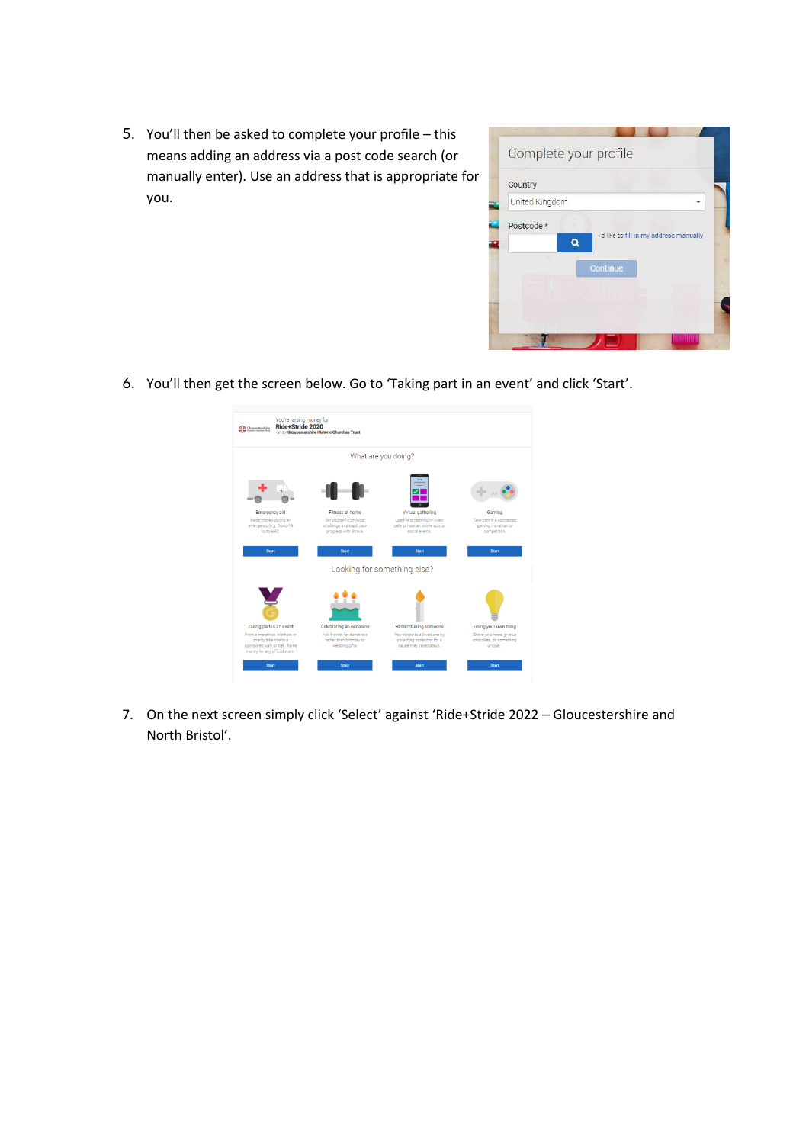5. You'll then be asked to complete your profile – this means adding an address via a post code search (or manually enter). Use an address that is appropriate for you.



6. You'll then get the screen below. Go to 'Taking part in an event' and click 'Start'.



7. On the next screen simply click 'Select' against 'Ride+Stride 2022 – Gloucestershire and North Bristol'.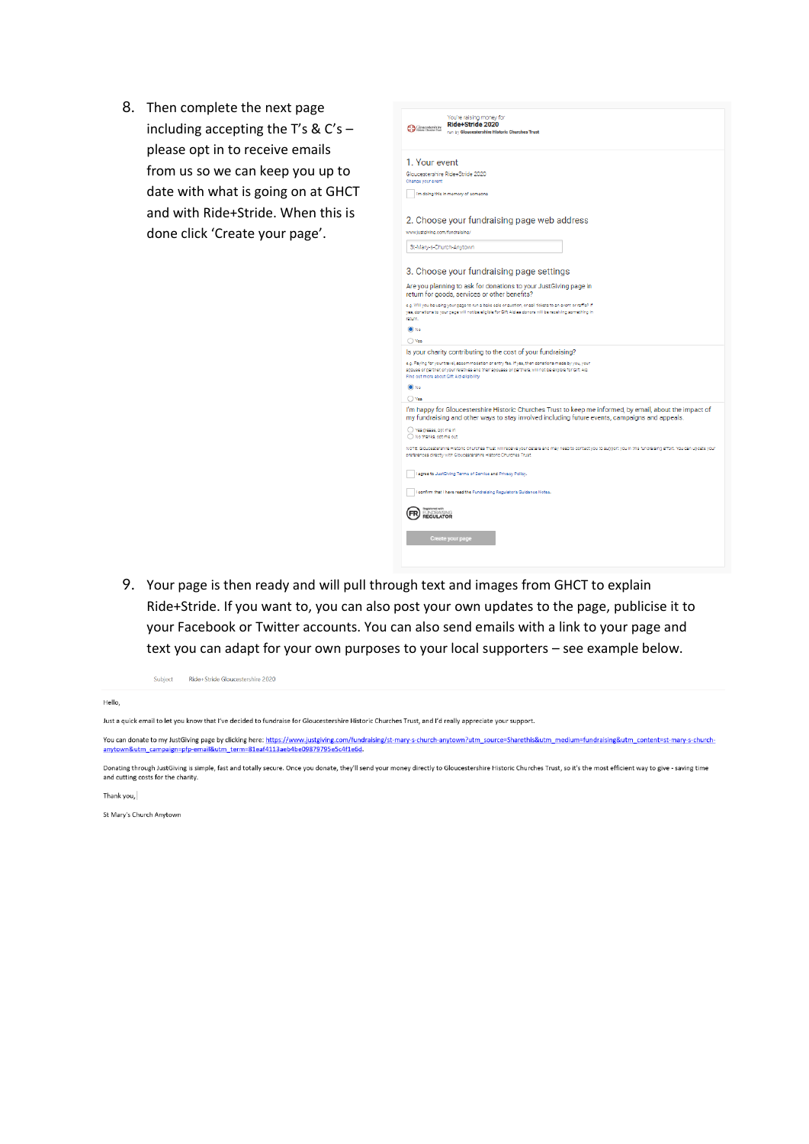8. Then complete the next page including accepting the T's & C's please opt in to receive emails from us so we can keep you up to date with what is going on at GHCT and with Ride+Stride. When this is done click 'Create your page'.



9. Your page is then ready and will pull through text and images from GHCT to explain Ride+Stride. If you want to, you can also post your own updates to the page, publicise it to your Facebook or Twitter accounts. You can also send emails with a link to your page and text you can adapt for your own purposes to your local supporters - see example below.

| Subject |  | Ride+Stride Gloucestershire 2020 |  |
|---------|--|----------------------------------|--|
|---------|--|----------------------------------|--|

Hello,

Just a quick email to let you know that I've decided to fundraise for Gloucestershire Historic Churches Trust, and I'd really appreciate your support.

You can donate to my JustGiving page by clicking here: https://www.justgiving.com/fundraising/st-mary-s-church-anytown?utm\_source=Sharethis&utm\_medium=fundraising&utm\_content=st-mary-s-church-<br>anytown&utm\_campaign=pfp-emai

Donating through JustGiving is simple, fast and totally secure. Once you donate, they'll send your money directly to Gloucestershire Historic Churches Trust, so it's the most efficient way to give - saving time and cutting costs for the charity

Thank you.

St Mary's Church Anytown